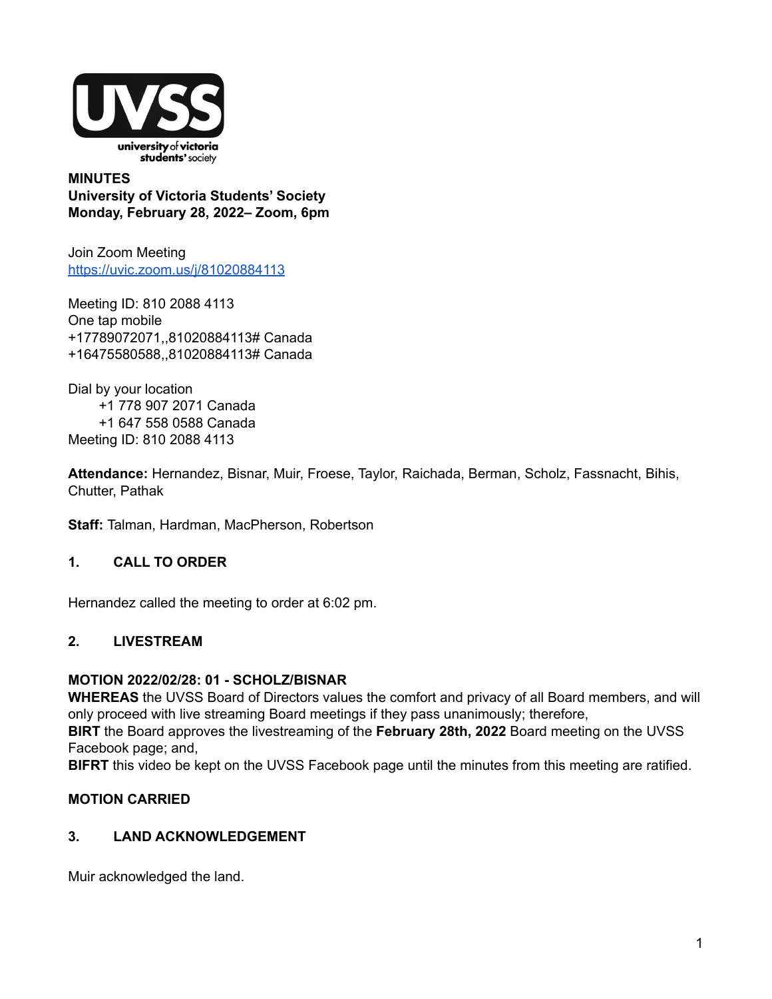

**MINUTES University of Victoria Students' Society Monday, February 28, 2022– Zoom, 6pm**

Join Zoom Meeting <https://uvic.zoom.us/j/81020884113>

Meeting ID: 810 2088 4113 One tap mobile +17789072071,,81020884113# Canada +16475580588,,81020884113# Canada

Dial by your location +1 778 907 2071 Canada +1 647 558 0588 Canada Meeting ID: 810 2088 4113

**Attendance:** Hernandez, Bisnar, Muir, Froese, Taylor, Raichada, Berman, Scholz, Fassnacht, Bihis, Chutter, Pathak

**Staff:** Talman, Hardman, MacPherson, Robertson

# **1. CALL TO ORDER**

Hernandez called the meeting to order at 6:02 pm.

### **2. LIVESTREAM**

### **MOTION 2022/02/28: 01 - SCHOLZ/BISNAR**

**WHEREAS** the UVSS Board of Directors values the comfort and privacy of all Board members, and will only proceed with live streaming Board meetings if they pass unanimously; therefore,

**BIRT** the Board approves the livestreaming of the **February 28th, 2022** Board meeting on the UVSS Facebook page; and,

**BIFRT** this video be kept on the UVSS Facebook page until the minutes from this meeting are ratified.

### **MOTION CARRIED**

### **3. LAND ACKNOWLEDGEMENT**

Muir acknowledged the land.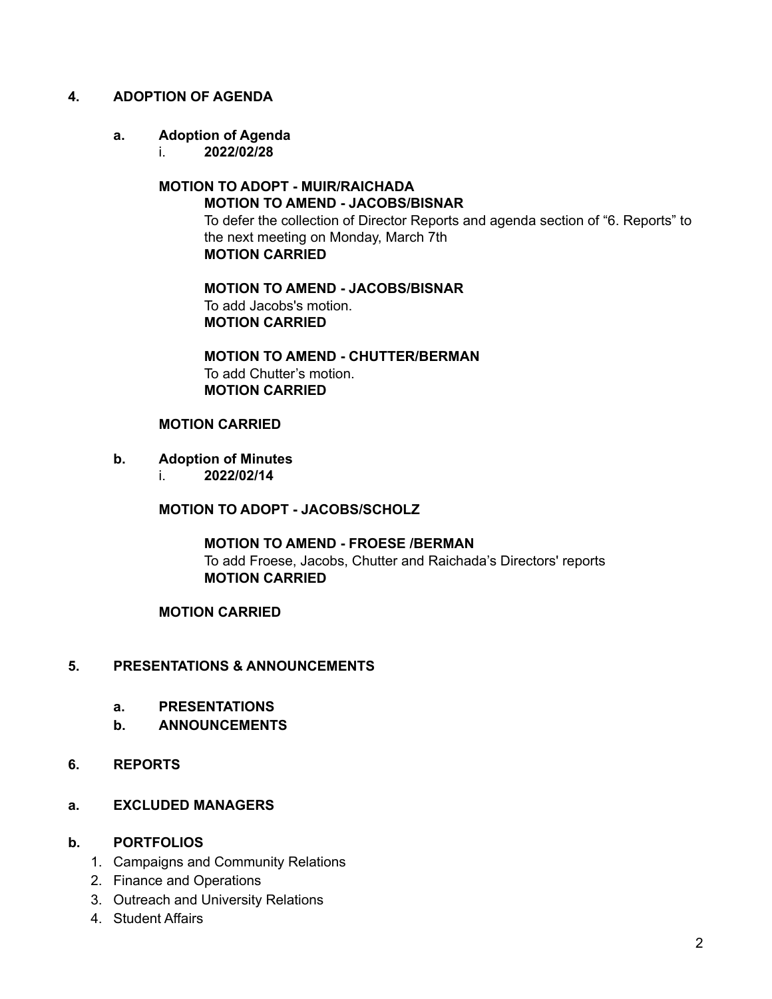### **4. ADOPTION OF AGENDA**

### **a. Adoption of Agenda**

i. **2022/02/28**

#### **MOTION TO ADOPT - MUIR/RAICHADA MOTION TO AMEND - JACOBS/BISNAR**

To defer the collection of Director Reports and agenda section of "6. Reports" to the next meeting on Monday, March 7th **MOTION CARRIED**

### **MOTION TO AMEND - JACOBS/BISNAR** To add Jacobs's motion. **MOTION CARRIED**

**MOTION TO AMEND - CHUTTER/BERMAN** To add Chutter's motion. **MOTION CARRIED**

### **MOTION CARRIED**

### **b. Adoption of Minutes**

i. **2022/02/14**

**MOTION TO ADOPT - JACOBS/SCHOLZ**

**MOTION TO AMEND - FROESE /BERMAN** To add Froese, Jacobs, Chutter and Raichada's Directors' reports **MOTION CARRIED**

### **MOTION CARRIED**

### **5. PRESENTATIONS & ANNOUNCEMENTS**

- **a. PRESENTATIONS**
- **b. ANNOUNCEMENTS**

### **6. REPORTS**

**a. EXCLUDED MANAGERS**

### **b. PORTFOLIOS**

- 1. Campaigns and Community Relations
- 2. Finance and Operations
- 3. Outreach and University Relations
- 4. Student Affairs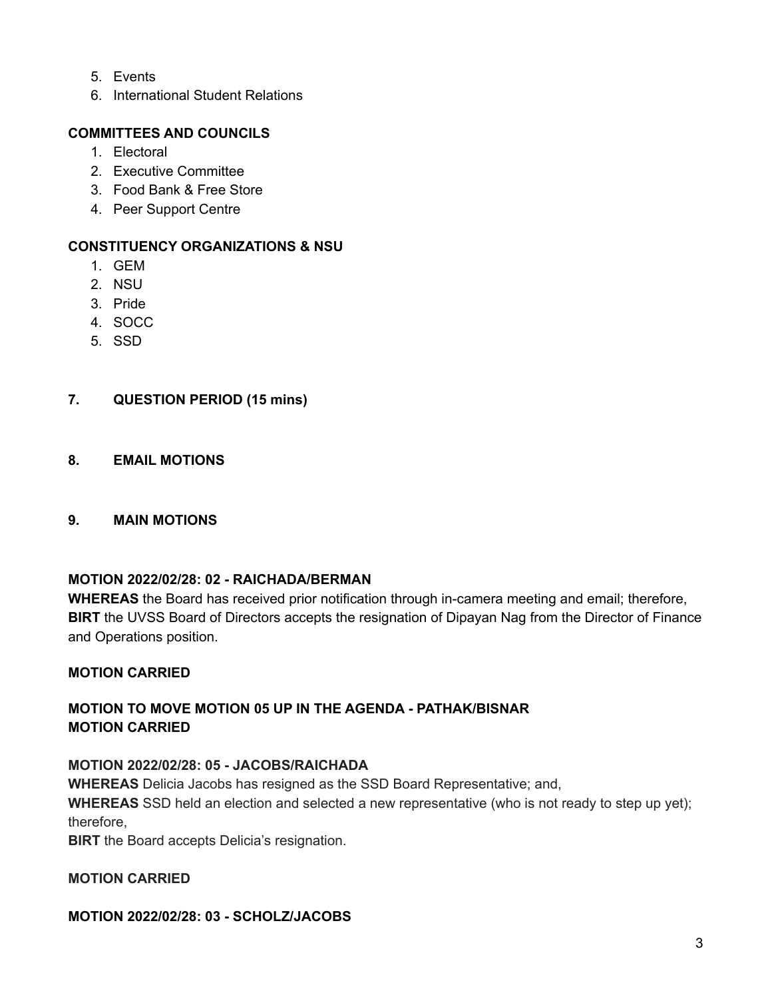- 5. Events
- 6. International Student Relations

# **COMMITTEES AND COUNCILS**

- 1. Electoral
- 2. Executive Committee
- 3. Food Bank & Free Store
- 4. Peer Support Centre

### **CONSTITUENCY ORGANIZATIONS & NSU**

- 1. GEM
- 2. NSU
- 3. Pride
- 4. SOCC
- 5. SSD

### **7. QUESTION PERIOD (15 mins)**

**8. EMAIL MOTIONS**

### **9. MAIN MOTIONS**

### **MOTION 2022/02/28: 02 - RAICHADA/BERMAN**

**WHEREAS** the Board has received prior notification through in-camera meeting and email; therefore, **BIRT** the UVSS Board of Directors accepts the resignation of Dipayan Nag from the Director of Finance and Operations position.

### **MOTION CARRIED**

# **MOTION TO MOVE MOTION 05 UP IN THE AGENDA - PATHAK/BISNAR MOTION CARRIED**

### **MOTION 2022/02/28: 05 - JACOBS/RAICHADA**

**WHEREAS** Delicia Jacobs has resigned as the SSD Board Representative; and,

**WHEREAS** SSD held an election and selected a new representative (who is not ready to step up yet); therefore,

**BIRT** the Board accepts Delicia's resignation.

### **MOTION CARRIED**

### **MOTION 2022/02/28: 03 - SCHOLZ/JACOBS**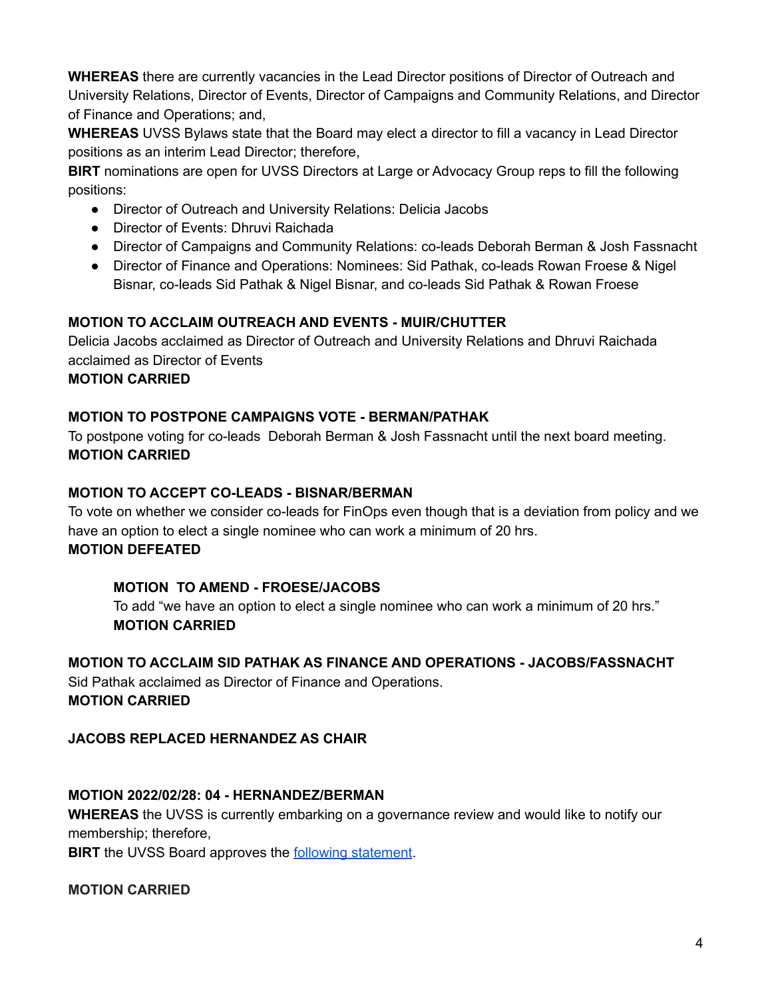**WHEREAS** there are currently vacancies in the Lead Director positions of Director of Outreach and University Relations, Director of Events, Director of Campaigns and Community Relations, and Director of Finance and Operations; and,

**WHEREAS** UVSS Bylaws state that the Board may elect a director to fill a vacancy in Lead Director positions as an interim Lead Director; therefore,

**BIRT** nominations are open for UVSS Directors at Large or Advocacy Group reps to fill the following positions:

- Director of Outreach and University Relations: Delicia Jacobs
- Director of Events: Dhruvi Raichada
- Director of Campaigns and Community Relations: co-leads Deborah Berman & Josh Fassnacht
- Director of Finance and Operations: Nominees: Sid Pathak, co-leads Rowan Froese & Nigel Bisnar, co-leads Sid Pathak & Nigel Bisnar, and co-leads Sid Pathak & Rowan Froese

# **MOTION TO ACCLAIM OUTREACH AND EVENTS - MUIR/CHUTTER**

Delicia Jacobs acclaimed as Director of Outreach and University Relations and Dhruvi Raichada acclaimed as Director of Events

# **MOTION CARRIED**

# **MOTION TO POSTPONE CAMPAIGNS VOTE - BERMAN/PATHAK**

To postpone voting for co-leads Deborah Berman & Josh Fassnacht until the next board meeting. **MOTION CARRIED**

# **MOTION TO ACCEPT CO-LEADS - BISNAR/BERMAN**

To vote on whether we consider co-leads for FinOps even though that is a deviation from policy and we have an option to elect a single nominee who can work a minimum of 20 hrs. **MOTION DEFEATED**

# **MOTION TO AMEND - FROESE/JACOBS**

To add "we have an option to elect a single nominee who can work a minimum of 20 hrs." **MOTION CARRIED**

# **MOTION TO ACCLAIM SID PATHAK AS FINANCE AND OPERATIONS - JACOBS/FASSNACHT**

Sid Pathak acclaimed as Director of Finance and Operations. **MOTION CARRIED**

# **JACOBS REPLACED HERNANDEZ AS CHAIR**

# **MOTION 2022/02/28: 04 - HERNANDEZ/BERMAN**

**WHEREAS** the UVSS is currently embarking on a governance review and would like to notify our membership; therefore,

**BIRT** the UVSS Board approves the **following [statement](https://docs.google.com/document/d/1DpRHeD06cFjmwQK8sfrz7czds-cIoI1m64bAZEEd8hM/edit#)**.

# **MOTION CARRIED**